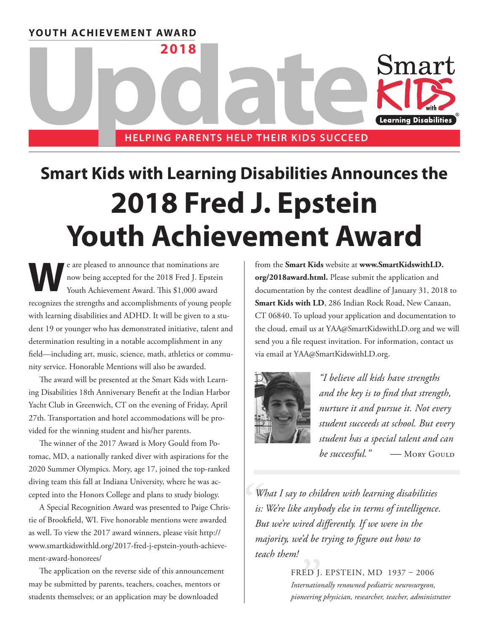**YOUTH ACHIEVEMENT AWARD**



# **Smart Kids with Learning Disabilities Announces the 2018 Fred J. Epstein Youth Achievement Award**

e are pleased to announce that nominations are<br>now being accepted for the 2018 Fred J. Epsteir<br>Youth Achievement Award. This \$1,000 award now being accepted for the 2018 Fred J. Epstein Youth Achievement Award. This \$1,000 award recognizes the strengths and accomplishments of young people with learning disabilities and ADHD. It will be given to a student 19 or younger who has demonstrated initiative, talent and determination resulting in a notable accomplishment in any field—including art, music, science, math, athletics or community service. Honorable Mentions will also be awarded.

The award will be presented at the Smart Kids with Learning Disabilities 18th Anniversary Benefit at the Indian Harbor Yacht Club in Greenwich, CT on the evening of Friday, April 27th. Transportation and hotel accommodations will be provided for the winning student and his/her parents.

The winner of the 2017 Award is Mory Gould from Potomac, MD, a nationally ranked diver with aspirations for the 2020 Summer Olympics. Mory, age 17, joined the top-ranked diving team this fall at Indiana University, where he was accepted into the Honors College and plans to study biology.

A Special Recognition Award was presented to Paige Christie of Brookfield, WI. Five honorable mentions were awarded as well. To view the 2017 award winners, please visit http:// www.smartkidswithld.org/2017-fred-j-epstein-youth-achievement-award-honorees/

The application on the reverse side of this announcement may be submitted by parents, teachers, coaches, mentors or students themselves; or an application may be downloaded

from the **Smart Kids** website at **www.SmartKidswithLD. org/2018award.html.** Please submit the application and documentation by the contest deadline of January 31, 2018 to **Smart Kids with LD**, 286 Indian Rock Road, New Canaan, CT 06840. To upload your application and documentation to the cloud, email us at YAA@SmartKidswithLD.org and we will send you a file request invitation. For information, contact us via email at YAA@SmartKidswithLD.org.



*"I believe all kids have strengths and the key is to find that strength, nurture it and pursue it. Not every student succeeds at school. But every student has a special talent and can be successful.*" — MORY GOULD

**1** *What I say to children with learning disabilities is: We're like anybody else in terms of intelligence. But we're wired differently. If we were in the majority, we'd be trying to figure out how to teach them!*

*"*<br>FRED<br>bioneeri<br>pioneeri FRED J. EPSTEIN, MD 1937 – 2006 *Internationally renowned pediatric neurosurgeon, pioneering physician, researcher, teacher, administrator*